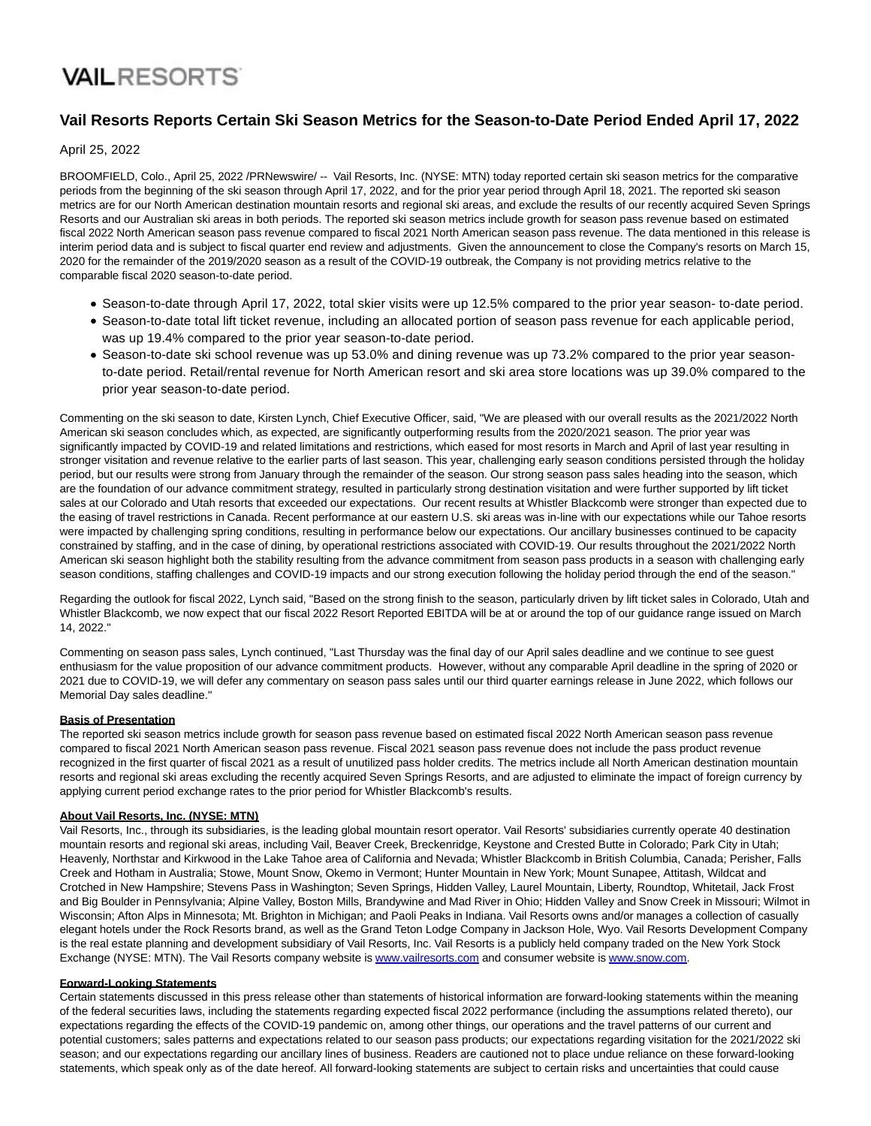## **VAILRESORTS**

### **Vail Resorts Reports Certain Ski Season Metrics for the Season-to-Date Period Ended April 17, 2022**

April 25, 2022

BROOMFIELD, Colo., April 25, 2022 /PRNewswire/ -- Vail Resorts, Inc. (NYSE: MTN) today reported certain ski season metrics for the comparative periods from the beginning of the ski season through April 17, 2022, and for the prior year period through April 18, 2021. The reported ski season metrics are for our North American destination mountain resorts and regional ski areas, and exclude the results of our recently acquired Seven Springs Resorts and our Australian ski areas in both periods. The reported ski season metrics include growth for season pass revenue based on estimated fiscal 2022 North American season pass revenue compared to fiscal 2021 North American season pass revenue. The data mentioned in this release is interim period data and is subject to fiscal quarter end review and adjustments. Given the announcement to close the Company's resorts on March 15, 2020 for the remainder of the 2019/2020 season as a result of the COVID-19 outbreak, the Company is not providing metrics relative to the comparable fiscal 2020 season-to-date period.

- Season-to-date through April 17, 2022, total skier visits were up 12.5% compared to the prior year season- to-date period.
- Season-to-date total lift ticket revenue, including an allocated portion of season pass revenue for each applicable period, was up 19.4% compared to the prior year season-to-date period.
- Season-to-date ski school revenue was up 53.0% and dining revenue was up 73.2% compared to the prior year seasonto-date period. Retail/rental revenue for North American resort and ski area store locations was up 39.0% compared to the prior year season-to-date period.

Commenting on the ski season to date, Kirsten Lynch, Chief Executive Officer, said, "We are pleased with our overall results as the 2021/2022 North American ski season concludes which, as expected, are significantly outperforming results from the 2020/2021 season. The prior year was significantly impacted by COVID-19 and related limitations and restrictions, which eased for most resorts in March and April of last year resulting in stronger visitation and revenue relative to the earlier parts of last season. This year, challenging early season conditions persisted through the holiday period, but our results were strong from January through the remainder of the season. Our strong season pass sales heading into the season, which are the foundation of our advance commitment strategy, resulted in particularly strong destination visitation and were further supported by lift ticket sales at our Colorado and Utah resorts that exceeded our expectations. Our recent results at Whistler Blackcomb were stronger than expected due to the easing of travel restrictions in Canada. Recent performance at our eastern U.S. ski areas was in-line with our expectations while our Tahoe resorts were impacted by challenging spring conditions, resulting in performance below our expectations. Our ancillary businesses continued to be capacity constrained by staffing, and in the case of dining, by operational restrictions associated with COVID-19. Our results throughout the 2021/2022 North American ski season highlight both the stability resulting from the advance commitment from season pass products in a season with challenging early season conditions, staffing challenges and COVID-19 impacts and our strong execution following the holiday period through the end of the season."

Regarding the outlook for fiscal 2022, Lynch said, "Based on the strong finish to the season, particularly driven by lift ticket sales in Colorado, Utah and Whistler Blackcomb, we now expect that our fiscal 2022 Resort Reported EBITDA will be at or around the top of our guidance range issued on March 14, 2022."

Commenting on season pass sales, Lynch continued, "Last Thursday was the final day of our April sales deadline and we continue to see guest enthusiasm for the value proposition of our advance commitment products. However, without any comparable April deadline in the spring of 2020 or 2021 due to COVID-19, we will defer any commentary on season pass sales until our third quarter earnings release in June 2022, which follows our Memorial Day sales deadline."

#### **Basis of Presentation**

The reported ski season metrics include growth for season pass revenue based on estimated fiscal 2022 North American season pass revenue compared to fiscal 2021 North American season pass revenue. Fiscal 2021 season pass revenue does not include the pass product revenue recognized in the first quarter of fiscal 2021 as a result of unutilized pass holder credits. The metrics include all North American destination mountain resorts and regional ski areas excluding the recently acquired Seven Springs Resorts, and are adjusted to eliminate the impact of foreign currency by applying current period exchange rates to the prior period for Whistler Blackcomb's results.

#### **About Vail Resorts, Inc. (NYSE: MTN)**

Vail Resorts, Inc., through its subsidiaries, is the leading global mountain resort operator. Vail Resorts' subsidiaries currently operate 40 destination mountain resorts and regional ski areas, including Vail, Beaver Creek, Breckenridge, Keystone and Crested Butte in Colorado; Park City in Utah; Heavenly, Northstar and Kirkwood in the Lake Tahoe area of California and Nevada; Whistler Blackcomb in British Columbia, Canada; Perisher, Falls Creek and Hotham in Australia; Stowe, Mount Snow, Okemo in Vermont; Hunter Mountain in New York; Mount Sunapee, Attitash, Wildcat and Crotched in New Hampshire; Stevens Pass in Washington; Seven Springs, Hidden Valley, Laurel Mountain, Liberty, Roundtop, Whitetail, Jack Frost and Big Boulder in Pennsylvania; Alpine Valley, Boston Mills, Brandywine and Mad River in Ohio; Hidden Valley and Snow Creek in Missouri; Wilmot in Wisconsin; Afton Alps in Minnesota; Mt. Brighton in Michigan; and Paoli Peaks in Indiana. Vail Resorts owns and/or manages a collection of casually elegant hotels under the Rock Resorts brand, as well as the Grand Teton Lodge Company in Jackson Hole, Wyo. Vail Resorts Development Company is the real estate planning and development subsidiary of Vail Resorts, Inc. Vail Resorts is a publicly held company traded on the New York Stock Exchange (NYSE: MTN). The Vail Resorts company website is [www.vailresorts.com a](http://www.vailresorts.com/)nd consumer website i[s www.snow.com.](http://www.snow.com/)

#### **Forward-Looking Statements**

Certain statements discussed in this press release other than statements of historical information are forward-looking statements within the meaning of the federal securities laws, including the statements regarding expected fiscal 2022 performance (including the assumptions related thereto), our expectations regarding the effects of the COVID-19 pandemic on, among other things, our operations and the travel patterns of our current and potential customers; sales patterns and expectations related to our season pass products; our expectations regarding visitation for the 2021/2022 ski season; and our expectations regarding our ancillary lines of business. Readers are cautioned not to place undue reliance on these forward-looking statements, which speak only as of the date hereof. All forward-looking statements are subject to certain risks and uncertainties that could cause